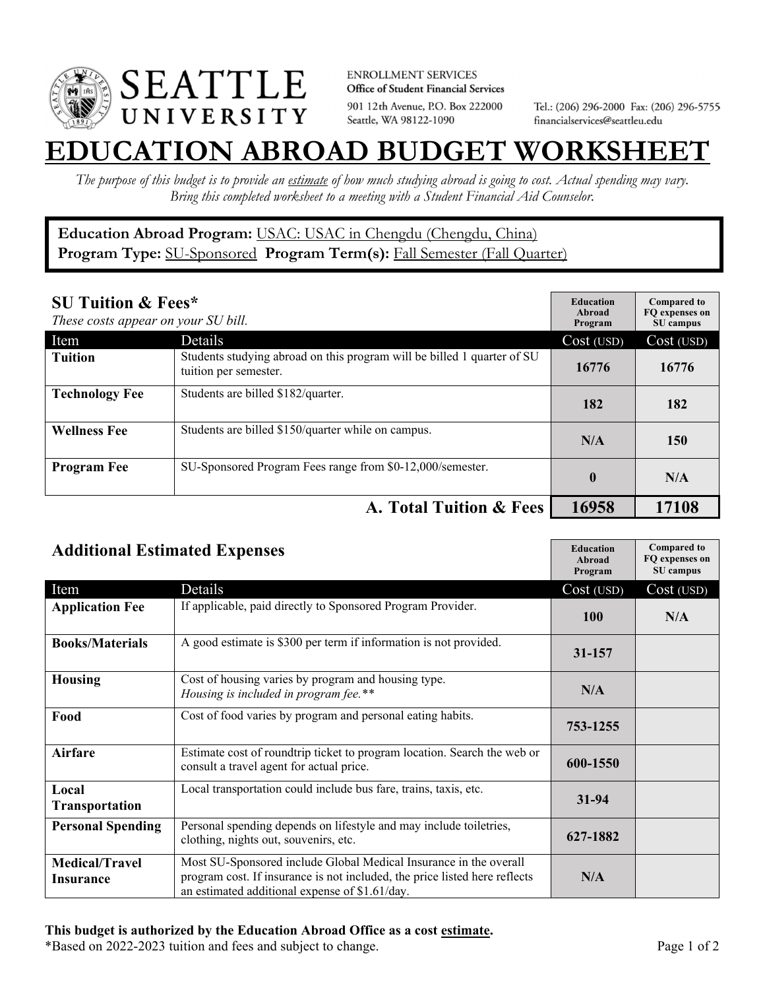

**ENROLLMENT SERVICES** Office of Student Financial Services 901 12th Avenue, P.O. Box 222000 Seattle, WA 98122-1090

Tel.: (206) 296-2000 Fax: (206) 296-5755 financialservices@seattleu.edu

## **EATION ABROAD BUDGET WORKSHEE**

*The purpose of this budget is to provide an estimate of how much studying abroad is going to cost. Actual spending may vary. Bring this completed worksheet to a meeting with a Student Financial Aid Counselor.* 

## **Education Abroad Program:** USAC: USAC in Chengdu (Chengdu, China) Program Type: **SU-Sponsored** Program Term(s): **Fall Semester (Fall Quarter)**

| <b>SU Tuition &amp; Fees*</b><br>These costs appear on your SU bill. |                                                                                                  | <b>Education</b><br>Abroad<br>Program | <b>Compared to</b><br>FO expenses on<br>SU campus |
|----------------------------------------------------------------------|--------------------------------------------------------------------------------------------------|---------------------------------------|---------------------------------------------------|
| Item                                                                 | Details                                                                                          | Cost (USD)                            | Cost (USD)                                        |
| <b>Tuition</b>                                                       | Students studying abroad on this program will be billed 1 quarter of SU<br>tuition per semester. | 16776                                 | 16776                                             |
| <b>Technology Fee</b>                                                | Students are billed \$182/quarter.                                                               | 182                                   | 182                                               |
| <b>Wellness Fee</b>                                                  | Students are billed \$150/quarter while on campus.                                               | N/A                                   | 150                                               |
| <b>Program Fee</b>                                                   | SU-Sponsored Program Fees range from \$0-12,000/semester.                                        | $\mathbf{0}$                          | N/A                                               |
|                                                                      | A. Total Tuition & Fees                                                                          | 16958                                 | 17108                                             |

| <b>Additional Estimated Expenses</b> |                                                                                                                                                                                                   | <b>Education</b><br>Abroad<br>Program | <b>Compared to</b><br>FQ expenses on<br>SU campus |
|--------------------------------------|---------------------------------------------------------------------------------------------------------------------------------------------------------------------------------------------------|---------------------------------------|---------------------------------------------------|
| Item                                 | Details                                                                                                                                                                                           | Cost (USD)                            | Cost (USD)                                        |
| <b>Application Fee</b>               | If applicable, paid directly to Sponsored Program Provider.                                                                                                                                       | <b>100</b>                            | N/A                                               |
| <b>Books/Materials</b>               | A good estimate is \$300 per term if information is not provided.                                                                                                                                 | 31-157                                |                                                   |
| <b>Housing</b>                       | Cost of housing varies by program and housing type.<br>Housing is included in program fee.**                                                                                                      | N/A                                   |                                                   |
| Food                                 | Cost of food varies by program and personal eating habits.                                                                                                                                        | 753-1255                              |                                                   |
| <b>Airfare</b>                       | Estimate cost of roundtrip ticket to program location. Search the web or<br>consult a travel agent for actual price.                                                                              | 600-1550                              |                                                   |
| Local<br><b>Transportation</b>       | Local transportation could include bus fare, trains, taxis, etc.                                                                                                                                  | $31 - 94$                             |                                                   |
| <b>Personal Spending</b>             | Personal spending depends on lifestyle and may include toiletries,<br>clothing, nights out, souvenirs, etc.                                                                                       | 627-1882                              |                                                   |
| <b>Medical/Travel</b><br>Insurance   | Most SU-Sponsored include Global Medical Insurance in the overall<br>program cost. If insurance is not included, the price listed here reflects<br>an estimated additional expense of \$1.61/day. | N/A                                   |                                                   |

\*Based on 2022-2023 tuition and fees and subject to change. Page 1 of 2